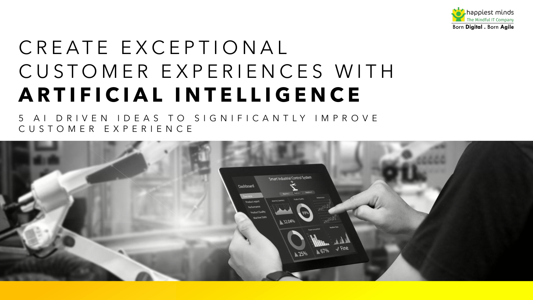

# CREATE EXCEPTIONAL CUSTOMER EXPERIENCES WITH **ARTIFICIAL INTELLIGENCE**

5 AI DRIVEN IDEAS TO SIGNIFICANTLY IMPROVE CUSTOMER EXPERIENCE

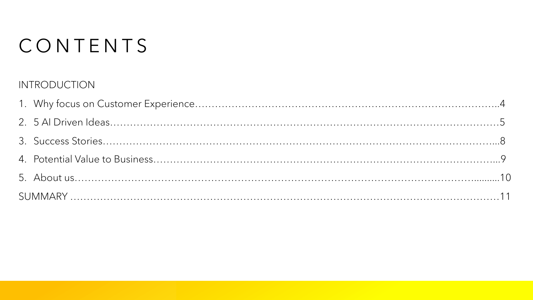# CONTENTS

### INTRODUCTION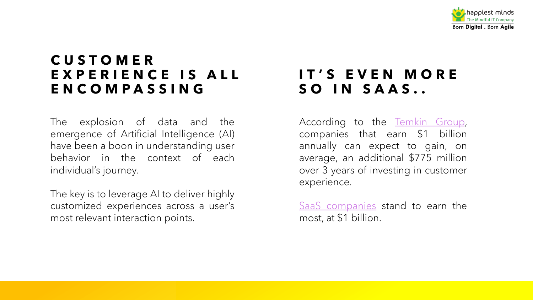# **CUSTOMER EXPERIENCE IS ALL ENCOMPASSING**

The explosion of data and the emergence of Artificial Intelligence (AI) have been a boon in understanding user behavior in the context of each individual's journey.

The key is to leverage AI to deliver highly customized experiences across a user's most relevant interaction points.

# **IT'S SO 1**

Accordin compani annually average, over 3 years experien

SaaS con most, at 9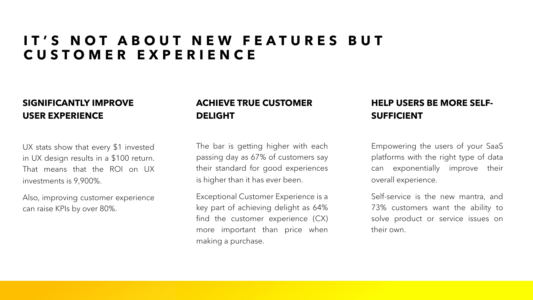## **IT'S NOT ABOUT NEW FEATURES BUT CUSTOMER EXPERIENCE**

#### **SIGNIFICANTLY IMPROVE USER EXPERIENCE**

UX stats show that every \$1 invested in UX design results in a \$100 return. That means that the ROI on UX investments is 9,900%.

Also, improving customer experience can raise KPIs by over 80%.

### **ACHIEVE TRUE CUSTOMER DELIGHT**

The bar is getting higher with each passing day as 67% of customers say their standard for good experiences is higher than it has ever been.

Exceptional Customer Experience is a key part of achieving delight as 64% find the customer experience (CX) more important than price when making a purchase.

### **HELP USERS BE MORE SELF-SUFFICIENT**

Empowering the users of your SaaS platforms with the right type of data can exponentially improve their overall experience.

Self-service is the new mantra, and 73% customers want the ability to solve product or service issues on their own.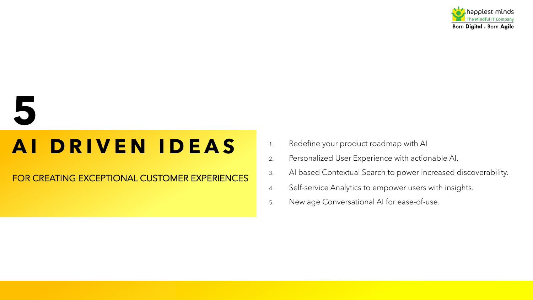

# **5**

# **A I DRIVEN IDEAS**

FOR CREATING EXCEPTIONAL CUSTOMER EXPERIENCES

- 1. Redefine your product roadmap with AI
- 2. Personalized User Experience with actionable AI.
- 3. AI based Contextual Search to power increased discoverability.
- 4. Self-service Analytics to empower users with insights.
- 5. New age Conversational AI for ease-of-use.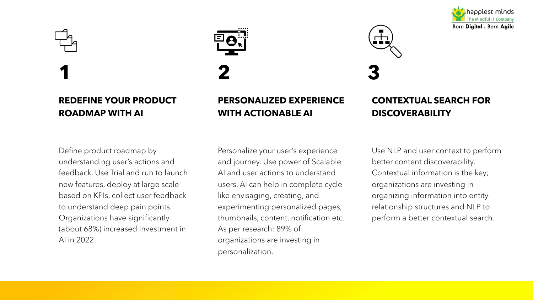



### **REDEFINE YOUR PRODUCT ROADMAP WITH AI**

**PERSONALIZED EXPERIENCE WITH ACTIONABLE AI**



### **CONTEXTUAL SEARCH FOR DISCOVERABILITY**

Define product roadmap by understanding user's actions and feedback. Use Trial and run to launch new features, deploy at large scale based on KPIs, collect user feedback to understand deep pain points. Organizations have significantly (about 68%) increased investment in AI in 2022

Personalize your user's experience and journey. Use power of Scalable AI and user actions to understand users. AI can help in complete cycle like envisaging, creating, and experimenting personalized pages, thumbnails, content, notification etc. As per research: 89% of organizations are investing in personalization.

Use NLP and user context to perform better content discoverability. Contextual information is the key; organizations are investing in organizing information into entityrelationship structures and NLP to perform a better contextual search.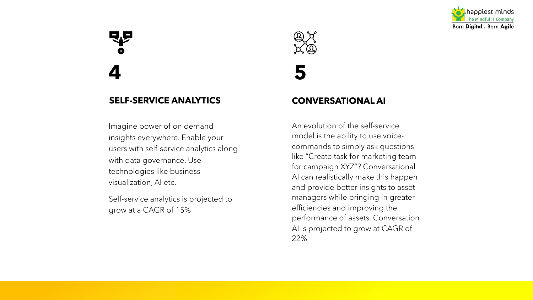

# **SELF-SERVICE ANALYTICS**

Imagine power of on demand insights everywhere. Enable your users with self-service analytics along with data governance. Use technologies like business visualization, AI etc.

Self-service analytics is projected to grow at a CAGR of 15%



**4 5**

#### **CONVERSATIONAL AI**

An evolution of the self-service model is the ability to use voicecommands to simply ask questions like "Create task for marketing team for campaign XYZ"? Conversational AI can realistically make this happen and provide better insights to asset managers while bringing in greater efficiencies and improving the performance of assets. Conversation AI is projected to grow at CAGR of 22%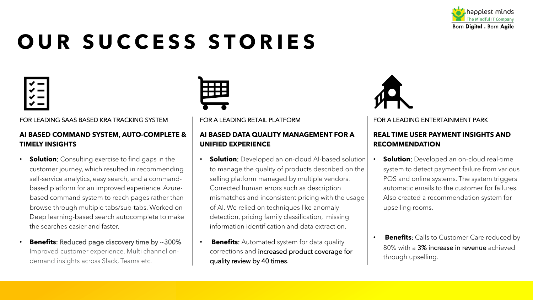

# **OUR SUCCESS STORIES**



#### FOR LEADING SAAS BASED KRA TRACKING SYSTEM

#### **AI BASED COMMAND SYSTEM, AUTO-COMPLETE & TIMELY INSIGHTS**

- **Solution**: Consulting exercise to find gaps in the customer journey, which resulted in recommending self-service analytics, easy search, and a commandbased platform for an improved experience. Azurebased command system to reach pages rather than browse through multiple tabs/sub-tabs. Worked on Deep learning-based search autocomplete to make the searches easier and faster.
- **Benefits:** Reduced page discovery time by ~300%. Improved customer experience. Multi channel ondemand insights across Slack, Teams etc.



#### FOR A LEADING RETAIL PLATFORM

#### **AI BASED DATA QUALITY MANAGEMENT FOR A UNIFIED EXPERIENCE**

- **Solution**: Developed an on-cloud AI-based solution to manage the quality of products described on the selling platform managed by multiple vendors. Corrected human errors such as description mismatches and inconsistent pricing with the usage of AI. We relied on techniques like anomaly detection, pricing family classification, missing information identification and data extraction.
- **Benefits:** Automated system for data quality corrections and increased product coverage for quality review by 40 times.



#### FOR A LEADING ENTERTAINMENT PARK

#### **REAL TIME USER PAYMENT INSIGHTS AND RECOMMENDATION**

- **Solution**: Developed an on-cloud real-time system to detect payment failure from various POS and online systems. The system triggers automatic emails to the customer for failures. Also created a recommendation system for upselling rooms.
- **Benefits**: Calls to Customer Care reduced by 80% with a 3% increase in revenue achieved through upselling.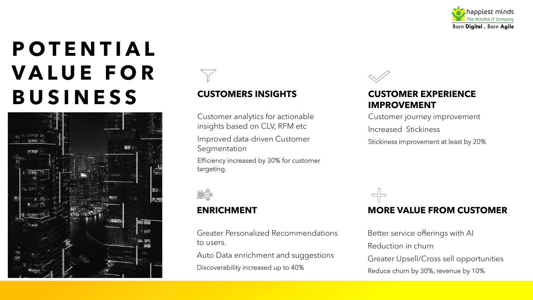

# **POTENTIAL VALUE FOR BUSINESS CUSTOMERS INSIGHTS**





Customer analytics for actionable insights based on CLV, RFM etc

Improved data-driven Customer Segmentation

Efficiency increased by 30% for customer targeting.



#### **ENRICHMENT**

Greater Personalized Recommendations to users.

Auto Data enrichment and suggestions Discoverability increased up to 40%



#### **CUSTOMER EXPERIENCE IMPROVEMENT**

Customer journey improvement Increased Stickiness

Stickiness improvement at least by 20%

### **MORE VALUE FROM CUSTOMER**

Better service offerings with AI Reduction in churn Greater Upsell/Cross sell opportunities Reduce churn by 30%, revenue by 10%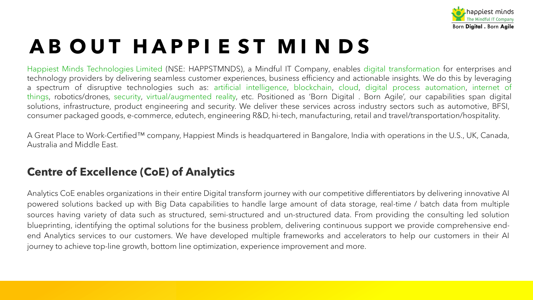# **A B OUT HAP P I E S T MI N D S**

Happiest Minds Technologies Limited (NSE: HAPPSTMNDS), a Mindful IT Company, en technology providers by delivering seamless customer experiences, business efficiency a a spectrum of disruptive technologies such as: artificial intelligence, blockchain, digital process and things, robotics/drones, security, virtual/augmented reality, etc. Positioned as 'Born Di solutions, infrastructure, product engineering and security. We deliver these services ad consumer packaged goods, e-commerce, edutech, engineering R&D, hi-tech, manufactur

A Great Place to Work-Certified™ company, Happiest Minds is headquartered in Bangalc Australia and Middle East.

### **Centre of Excellence (CoE) of Analytics**

Analytics CoE enables organizations in their entire Digital transform journey with our comp powered solutions backed up with Big Data capabilities to handle large amount of da sources having variety of data such as structured, semi-structured and un-structured d blueprinting, identifying the optimal solutions for the business problem, delivering continuous support we pro end Analytics services to our customers. We have developed multiple frameworks and journey to achieve top-line growth, bottom line optimization, experience improvement an